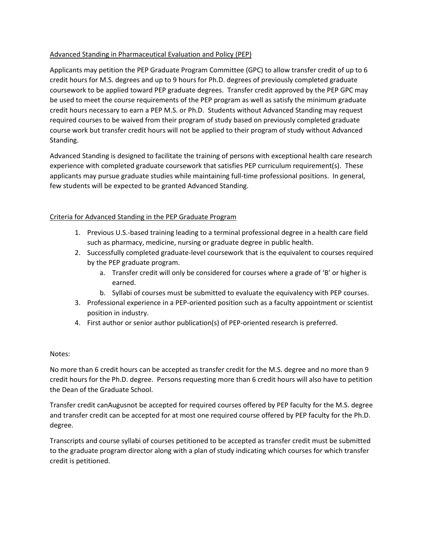## Advanced Standing in Pharmaceutical Evaluation and Policy (PEP)

Applicants may petition the PEP Graduate Program Committee (GPC) to allow transfer credit of up to 6 credit hours for M.S. degrees and up to 9 hours for Ph.D. degrees of previously completed graduate coursework to be applied toward PEP graduate degrees. Transfer credit approved by the PEP GPC may be used to meet the course requirements of the PEP program as well as satisfy the minimum graduate credit hours necessary to earn a PEP M.S. or Ph.D. Students without Advanced Standing may request required courses to be waived from their program of study based on previously completed graduate course work but transfer credit hours will not be applied to their program of study without Advanced Standing.

Advanced Standing is designed to facilitate the training of persons with exceptional health care research experience with completed graduate coursework that satisfies PEP curriculum requirement(s). These applicants may pursue graduate studies while maintaining full-time professional positions. In general, few students will be expected to be granted Advanced Standing.

## Criteria for Advanced Standing in the PEP Graduate Program

- 1. Previous U.S.-based training leading to a terminal professional degree in a health care field such as pharmacy, medicine, nursing or graduate degree in public health.
- 2. Successfully completed graduate-level coursework that is the equivalent to courses required by the PEP graduate program.
	- a. Transfer credit will only be considered for courses where a grade of 'B' or higher is earned.
	- b. Syllabi of courses must be submitted to evaluate the equivalency with PEP courses.
- 3. Professional experience in a PEP-oriented position such as a faculty appointment or scientist position in industry.
- 4. First author or senior author publication(s) of PEP-oriented research is preferred.

## Notes:

No more than 6 credit hours can be accepted as transfer credit for the M.S. degree and no more than 9 credit hours for the Ph.D. degree. Persons requesting more than 6 credit hours will also have to petition the Dean of the Graduate School.

Transfer credit canAugusnot be accepted for required courses offered by PEP faculty for the M.S. degree and transfer credit can be accepted for at most one required course offered by PEP faculty for the Ph.D. degree.

Transcripts and course syllabi of courses petitioned to be accepted as transfer credit must be submitted to the graduate program director along with a plan of study indicating which courses for which transfer credit is petitioned.